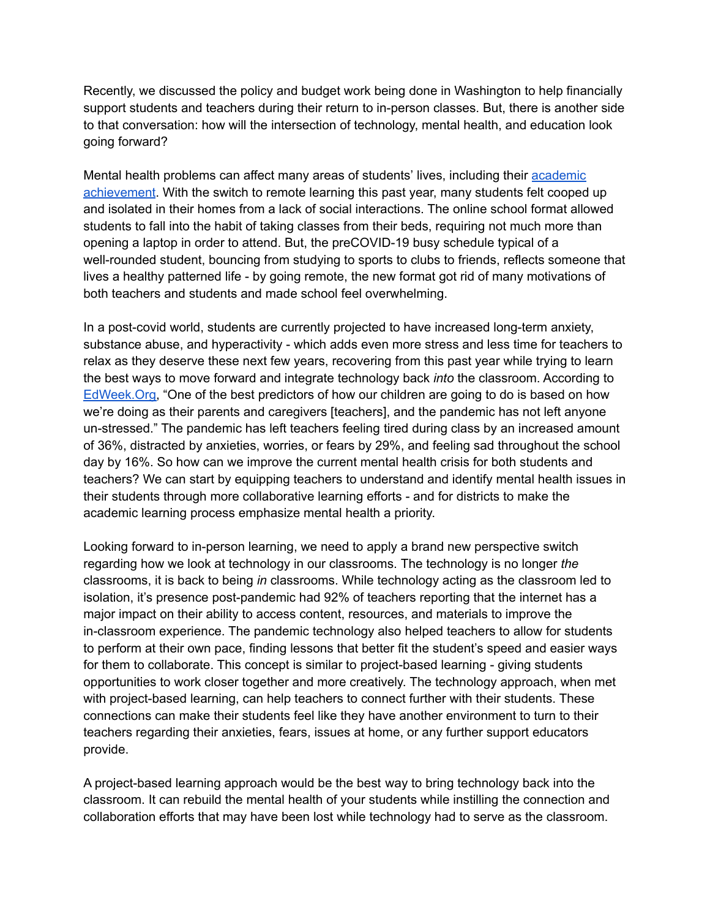Recently, we discussed the policy and budget work being done in Washington to help financially support students and teachers during their return to in-person classes. But, there is another side to that conversation: how will the intersection of technology, mental health, and education look going forward?

Mental health problems can affect many areas of students' lives, including their [academic](https://milehighpsychiatry.com/how-remote-learning-affects-mental-health/) [achievement](https://milehighpsychiatry.com/how-remote-learning-affects-mental-health/). With the switch to remote learning this past year, many students felt cooped up and isolated in their homes from a lack of social interactions. The online school format allowed students to fall into the habit of taking classes from their beds, requiring not much more than opening a laptop in order to attend. But, the preCOVID-19 busy schedule typical of a well-rounded student, bouncing from studying to sports to clubs to friends, reflects someone that lives a healthy patterned life - by going remote, the new format got rid of many motivations of both teachers and students and made school feel overwhelming.

In a post-covid world, students are currently projected to have increased long-term anxiety, substance abuse, and hyperactivity - which adds even more stress and less time for teachers to relax as they deserve these next few years, recovering from this past year while trying to learn the best ways to move forward and integrate technology back *into* the classroom. According to [EdWeek.Org,](https://www.edweek.org/leadership/the-pandemic-will-affect-students-mental-health-for-years-to-come-how-schools-can-help/2021/03) "One of the best predictors of how our children are going to do is based on how we're doing as their parents and caregivers [teachers], and the pandemic has not left anyone un-stressed." The pandemic has left teachers feeling tired during class by an increased amount of 36%, distracted by anxieties, worries, or fears by 29%, and feeling sad throughout the school day by 16%. So how can we improve the current mental health crisis for both students and teachers? We can start by equipping teachers to understand and identify mental health issues in their students through more collaborative learning efforts - and for districts to make the academic learning process emphasize mental health a priority.

Looking forward to in-person learning, we need to apply a brand new perspective switch regarding how we look at technology in our classrooms. The technology is no longer *the* classrooms, it is back to being *in* classrooms. While technology acting as the classroom led to isolation, it's presence post-pandemic had 92% of teachers reporting that the internet has a major impact on their ability to access content, resources, and materials to improve the in-classroom experience. The pandemic technology also helped teachers to allow for students to perform at their own pace, finding lessons that better fit the student's speed and easier ways for them to collaborate. This concept is similar to project-based learning - giving students opportunities to work closer together and more creatively. The technology approach, when met with project-based learning, can help teachers to connect further with their students. These connections can make their students feel like they have another environment to turn to their teachers regarding their anxieties, fears, issues at home, or any further support educators provide.

A project-based learning approach would be the best way to bring technology back into the classroom. It can rebuild the mental health of your students while instilling the connection and collaboration efforts that may have been lost while technology had to serve as the classroom.